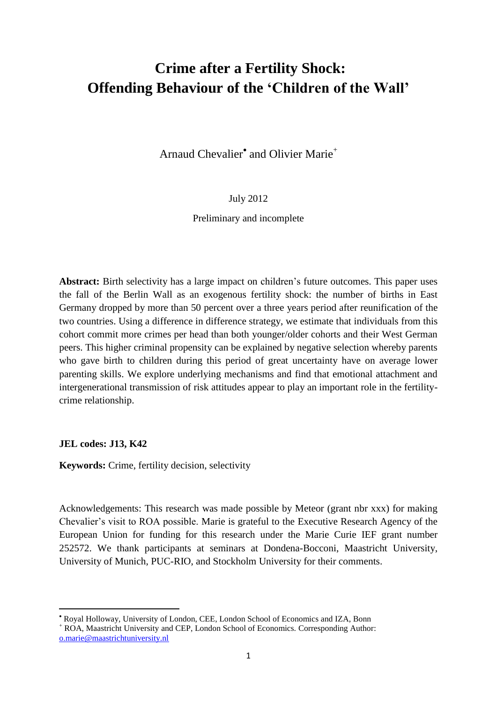# **Crime after a Fertility Shock: Offending Behaviour of the 'Children of the Wall'**

Arnaud Chevalier<sup>•</sup> and Olivier Marie<sup>+</sup>

July 2012

Preliminary and incomplete

Abstract: Birth selectivity has a large impact on children's future outcomes. This paper uses the fall of the Berlin Wall as an exogenous fertility shock: the number of births in East Germany dropped by more than 50 percent over a three years period after reunification of the two countries. Using a difference in difference strategy, we estimate that individuals from this cohort commit more crimes per head than both younger/older cohorts and their West German peers. This higher criminal propensity can be explained by negative selection whereby parents who gave birth to children during this period of great uncertainty have on average lower parenting skills. We explore underlying mechanisms and find that emotional attachment and intergenerational transmission of risk attitudes appear to play an important role in the fertilitycrime relationship.

**JEL codes: J13, K42**

 $\overline{a}$ 

**Keywords:** Crime, fertility decision, selectivity

Acknowledgements: This research was made possible by Meteor (grant nbr xxx) for making Chevalier"s visit to ROA possible. Marie is grateful to the Executive Research Agency of the European Union for funding for this research under the Marie Curie IEF grant number 252572. We thank participants at seminars at Dondena-Bocconi, Maastricht University, University of Munich, PUC-RIO, and Stockholm University for their comments.

Royal Holloway, University of London, CEE, London School of Economics and IZA, Bonn

<sup>+</sup> ROA, Maastricht University and CEP, London School of Economics. Corresponding Author: [o.marie@maastrichtuniversity.nl](mailto:o.marie@maastrichtuniversity.nl)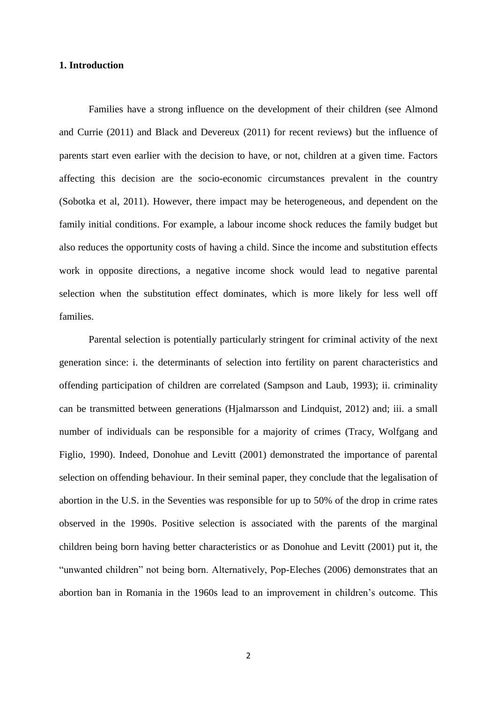## **1. Introduction**

Families have a strong influence on the development of their children (see Almond and Currie (2011) and Black and Devereux (2011) for recent reviews) but the influence of parents start even earlier with the decision to have, or not, children at a given time. Factors affecting this decision are the socio-economic circumstances prevalent in the country (Sobotka et al, 2011). However, there impact may be heterogeneous, and dependent on the family initial conditions. For example, a labour income shock reduces the family budget but also reduces the opportunity costs of having a child. Since the income and substitution effects work in opposite directions, a negative income shock would lead to negative parental selection when the substitution effect dominates, which is more likely for less well off families.

Parental selection is potentially particularly stringent for criminal activity of the next generation since: i. the determinants of selection into fertility on parent characteristics and offending participation of children are correlated (Sampson and Laub, 1993); ii. criminality can be transmitted between generations (Hjalmarsson and Lindquist, 2012) and; iii. a small number of individuals can be responsible for a majority of crimes (Tracy, Wolfgang and Figlio, 1990). Indeed, Donohue and Levitt (2001) demonstrated the importance of parental selection on offending behaviour. In their seminal paper, they conclude that the legalisation of abortion in the U.S. in the Seventies was responsible for up to 50% of the drop in crime rates observed in the 1990s. Positive selection is associated with the parents of the marginal children being born having better characteristics or as Donohue and Levitt (2001) put it, the "unwanted children" not being born. Alternatively, Pop-Eleches (2006) demonstrates that an abortion ban in Romania in the 1960s lead to an improvement in children"s outcome. This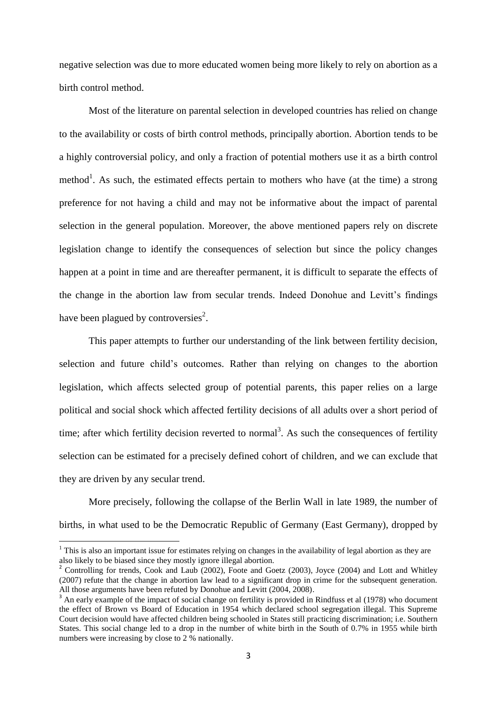negative selection was due to more educated women being more likely to rely on abortion as a birth control method.

Most of the literature on parental selection in developed countries has relied on change to the availability or costs of birth control methods, principally abortion. Abortion tends to be a highly controversial policy, and only a fraction of potential mothers use it as a birth control method<sup>1</sup>. As such, the estimated effects pertain to mothers who have (at the time) a strong preference for not having a child and may not be informative about the impact of parental selection in the general population. Moreover, the above mentioned papers rely on discrete legislation change to identify the consequences of selection but since the policy changes happen at a point in time and are thereafter permanent, it is difficult to separate the effects of the change in the abortion law from secular trends. Indeed Donohue and Levitt's findings have been plagued by controversies<sup>2</sup>.

This paper attempts to further our understanding of the link between fertility decision, selection and future child"s outcomes. Rather than relying on changes to the abortion legislation, which affects selected group of potential parents, this paper relies on a large political and social shock which affected fertility decisions of all adults over a short period of time; after which fertility decision reverted to normal<sup>3</sup>. As such the consequences of fertility selection can be estimated for a precisely defined cohort of children, and we can exclude that they are driven by any secular trend.

More precisely, following the collapse of the Berlin Wall in late 1989, the number of births, in what used to be the Democratic Republic of Germany (East Germany), dropped by

 $\overline{\phantom{a}}$ 

 $1$  This is also an important issue for estimates relying on changes in the availability of legal abortion as they are also likely to be biased since they mostly ignore illegal abortion.

<sup>&</sup>lt;sup>2</sup> Controlling for trends, Cook and Laub (2002), Foote and Goetz (2003), Joyce (2004) and Lott and Whitley (2007) refute that the change in abortion law lead to a significant drop in crime for the subsequent generation. All those arguments have been refuted by Donohue and Levitt (2004, 2008).

<sup>&</sup>lt;sup>3</sup> An early example of the impact of social change on fertility is provided in Rindfuss et al (1978) who document the effect of Brown vs Board of Education in 1954 which declared school segregation illegal. This Supreme Court decision would have affected children being schooled in States still practicing discrimination; i.e. Southern States. This social change led to a drop in the number of white birth in the South of 0.7% in 1955 while birth numbers were increasing by close to 2 % nationally.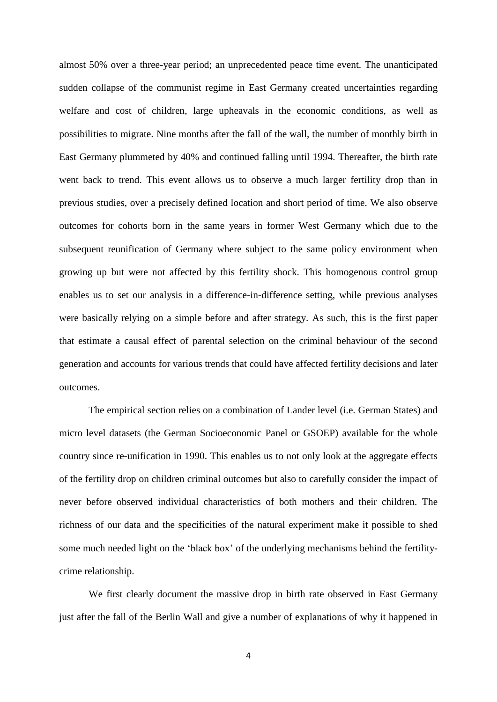almost 50% over a three-year period; an unprecedented peace time event. The unanticipated sudden collapse of the communist regime in East Germany created uncertainties regarding welfare and cost of children, large upheavals in the economic conditions, as well as possibilities to migrate. Nine months after the fall of the wall, the number of monthly birth in East Germany plummeted by 40% and continued falling until 1994. Thereafter, the birth rate went back to trend. This event allows us to observe a much larger fertility drop than in previous studies, over a precisely defined location and short period of time. We also observe outcomes for cohorts born in the same years in former West Germany which due to the subsequent reunification of Germany where subject to the same policy environment when growing up but were not affected by this fertility shock. This homogenous control group enables us to set our analysis in a difference-in-difference setting, while previous analyses were basically relying on a simple before and after strategy. As such, this is the first paper that estimate a causal effect of parental selection on the criminal behaviour of the second generation and accounts for various trends that could have affected fertility decisions and later outcomes.

The empirical section relies on a combination of Lander level (i.e. German States) and micro level datasets (the German Socioeconomic Panel or GSOEP) available for the whole country since re-unification in 1990. This enables us to not only look at the aggregate effects of the fertility drop on children criminal outcomes but also to carefully consider the impact of never before observed individual characteristics of both mothers and their children. The richness of our data and the specificities of the natural experiment make it possible to shed some much needed light on the "black box" of the underlying mechanisms behind the fertilitycrime relationship.

We first clearly document the massive drop in birth rate observed in East Germany just after the fall of the Berlin Wall and give a number of explanations of why it happened in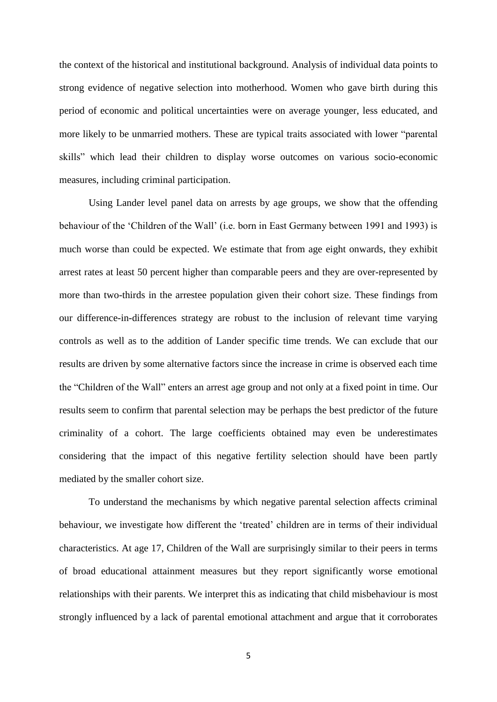the context of the historical and institutional background. Analysis of individual data points to strong evidence of negative selection into motherhood. Women who gave birth during this period of economic and political uncertainties were on average younger, less educated, and more likely to be unmarried mothers. These are typical traits associated with lower "parental skills" which lead their children to display worse outcomes on various socio-economic measures, including criminal participation.

Using Lander level panel data on arrests by age groups, we show that the offending behaviour of the "Children of the Wall" (i.e. born in East Germany between 1991 and 1993) is much worse than could be expected. We estimate that from age eight onwards, they exhibit arrest rates at least 50 percent higher than comparable peers and they are over-represented by more than two-thirds in the arrestee population given their cohort size. These findings from our difference-in-differences strategy are robust to the inclusion of relevant time varying controls as well as to the addition of Lander specific time trends. We can exclude that our results are driven by some alternative factors since the increase in crime is observed each time the "Children of the Wall" enters an arrest age group and not only at a fixed point in time. Our results seem to confirm that parental selection may be perhaps the best predictor of the future criminality of a cohort. The large coefficients obtained may even be underestimates considering that the impact of this negative fertility selection should have been partly mediated by the smaller cohort size.

To understand the mechanisms by which negative parental selection affects criminal behaviour, we investigate how different the "treated" children are in terms of their individual characteristics. At age 17, Children of the Wall are surprisingly similar to their peers in terms of broad educational attainment measures but they report significantly worse emotional relationships with their parents. We interpret this as indicating that child misbehaviour is most strongly influenced by a lack of parental emotional attachment and argue that it corroborates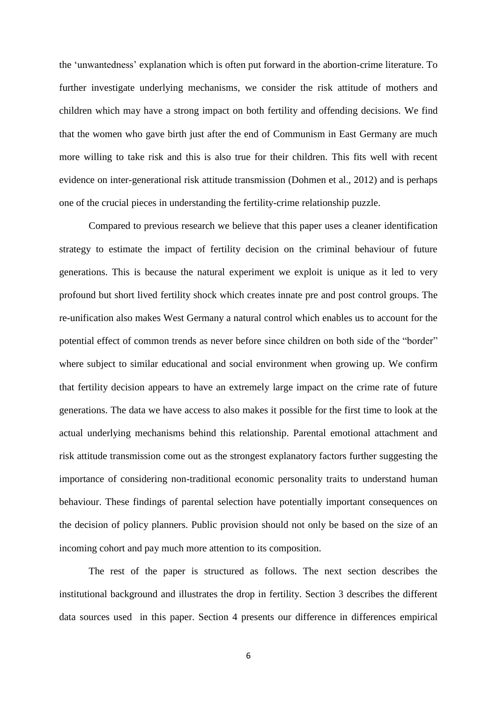the "unwantedness" explanation which is often put forward in the abortion-crime literature. To further investigate underlying mechanisms, we consider the risk attitude of mothers and children which may have a strong impact on both fertility and offending decisions. We find that the women who gave birth just after the end of Communism in East Germany are much more willing to take risk and this is also true for their children. This fits well with recent evidence on inter-generational risk attitude transmission (Dohmen et al., 2012) and is perhaps one of the crucial pieces in understanding the fertility-crime relationship puzzle.

Compared to previous research we believe that this paper uses a cleaner identification strategy to estimate the impact of fertility decision on the criminal behaviour of future generations. This is because the natural experiment we exploit is unique as it led to very profound but short lived fertility shock which creates innate pre and post control groups. The re-unification also makes West Germany a natural control which enables us to account for the potential effect of common trends as never before since children on both side of the "border" where subject to similar educational and social environment when growing up. We confirm that fertility decision appears to have an extremely large impact on the crime rate of future generations. The data we have access to also makes it possible for the first time to look at the actual underlying mechanisms behind this relationship. Parental emotional attachment and risk attitude transmission come out as the strongest explanatory factors further suggesting the importance of considering non-traditional economic personality traits to understand human behaviour. These findings of parental selection have potentially important consequences on the decision of policy planners. Public provision should not only be based on the size of an incoming cohort and pay much more attention to its composition.

The rest of the paper is structured as follows. The next section describes the institutional background and illustrates the drop in fertility. Section 3 describes the different data sources used in this paper. Section 4 presents our difference in differences empirical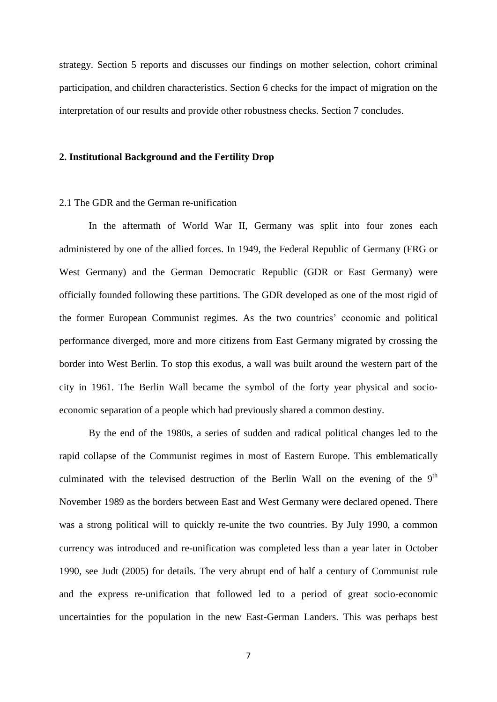strategy. Section 5 reports and discusses our findings on mother selection, cohort criminal participation, and children characteristics. Section 6 checks for the impact of migration on the interpretation of our results and provide other robustness checks. Section 7 concludes.

#### **2. Institutional Background and the Fertility Drop**

### 2.1 The GDR and the German re-unification

In the aftermath of World War II, Germany was split into four zones each administered by one of the allied forces. In 1949, the Federal Republic of Germany (FRG or West Germany) and the German Democratic Republic (GDR or East Germany) were officially founded following these partitions. The GDR developed as one of the most rigid of the former European Communist regimes. As the two countries" economic and political performance diverged, more and more citizens from East Germany migrated by crossing the border into West Berlin. To stop this exodus, a wall was built around the western part of the city in 1961. The Berlin Wall became the symbol of the forty year physical and socioeconomic separation of a people which had previously shared a common destiny.

By the end of the 1980s, a series of sudden and radical political changes led to the rapid collapse of the Communist regimes in most of Eastern Europe. This emblematically culminated with the televised destruction of the Berlin Wall on the evening of the  $9<sup>th</sup>$ November 1989 as the borders between East and West Germany were declared opened. There was a strong political will to quickly re-unite the two countries. By July 1990, a common currency was introduced and re-unification was completed less than a year later in October 1990, see Judt (2005) for details. The very abrupt end of half a century of Communist rule and the express re-unification that followed led to a period of great socio-economic uncertainties for the population in the new East-German Landers. This was perhaps best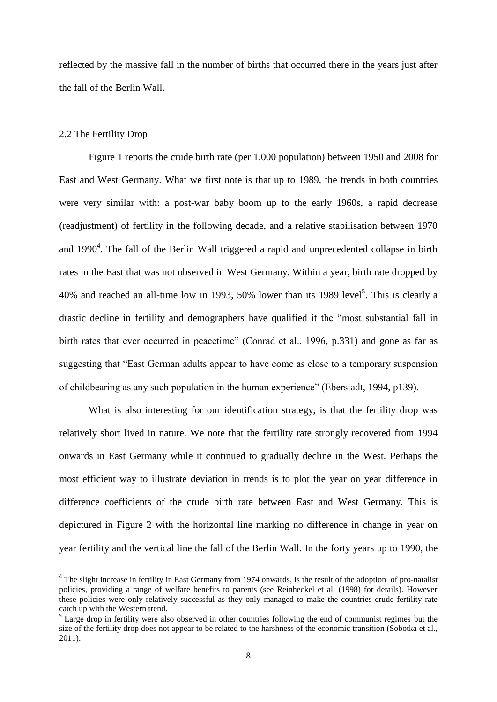reflected by the massive fall in the number of births that occurred there in the years just after the fall of the Berlin Wall.

## 2.2 The Fertility Drop

 $\overline{a}$ 

Figure 1 reports the crude birth rate (per 1,000 population) between 1950 and 2008 for East and West Germany. What we first note is that up to 1989, the trends in both countries were very similar with: a post-war baby boom up to the early 1960s, a rapid decrease (readjustment) of fertility in the following decade, and a relative stabilisation between 1970 and  $1990<sup>4</sup>$ . The fall of the Berlin Wall triggered a rapid and unprecedented collapse in birth rates in the East that was not observed in West Germany. Within a year, birth rate dropped by 40% and reached an all-time low in 1993, 50% lower than its 1989 level<sup>5</sup>. This is clearly a drastic decline in fertility and demographers have qualified it the "most substantial fall in birth rates that ever occurred in peacetime" (Conrad et al., 1996, p.331) and gone as far as suggesting that "East German adults appear to have come as close to a temporary suspension of childbearing as any such population in the human experience" (Eberstadt, 1994, p139).

What is also interesting for our identification strategy, is that the fertility drop was relatively short lived in nature. We note that the fertility rate strongly recovered from 1994 onwards in East Germany while it continued to gradually decline in the West. Perhaps the most efficient way to illustrate deviation in trends is to plot the year on year difference in difference coefficients of the crude birth rate between East and West Germany. This is depictured in Figure 2 with the horizontal line marking no difference in change in year on year fertility and the vertical line the fall of the Berlin Wall. In the forty years up to 1990, the

<sup>&</sup>lt;sup>4</sup> The slight increase in fertility in East Germany from 1974 onwards, is the result of the adoption of pro-natalist policies, providing a range of welfare benefits to parents (see Reinheckel et al. (1998) for details). However these policies were only relatively successful as they only managed to make the countries crude fertility rate catch up with the Western trend.

<sup>&</sup>lt;sup>5</sup> Large drop in fertility were also observed in other countries following the end of communist regimes but the size of the fertility drop does not appear to be related to the harshness of the economic transition (Sobotka et al., 2011).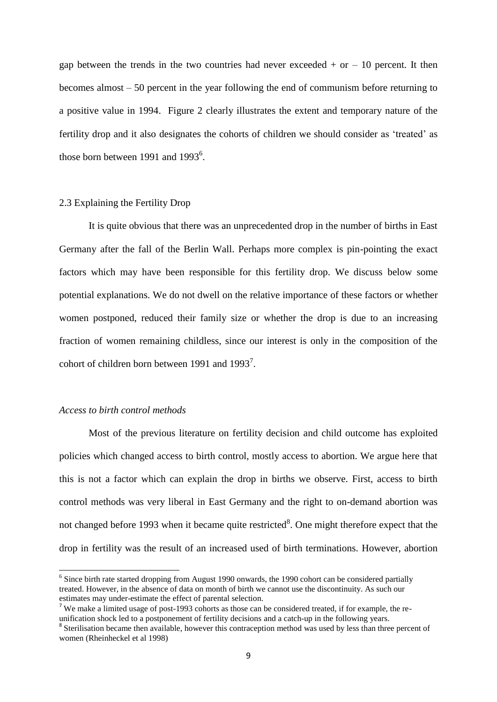gap between the trends in the two countries had never exceeded  $+$  or  $-10$  percent. It then becomes almost – 50 percent in the year following the end of communism before returning to a positive value in 1994. Figure 2 clearly illustrates the extent and temporary nature of the fertility drop and it also designates the cohorts of children we should consider as "treated" as those born between 1991 and 1993 $^6$ .

### 2.3 Explaining the Fertility Drop

It is quite obvious that there was an unprecedented drop in the number of births in East Germany after the fall of the Berlin Wall. Perhaps more complex is pin-pointing the exact factors which may have been responsible for this fertility drop. We discuss below some potential explanations. We do not dwell on the relative importance of these factors or whether women postponed, reduced their family size or whether the drop is due to an increasing fraction of women remaining childless, since our interest is only in the composition of the cohort of children born between 1991 and  $1993<sup>7</sup>$ .

## *Access to birth control methods*

 $\overline{\phantom{a}}$ 

Most of the previous literature on fertility decision and child outcome has exploited policies which changed access to birth control, mostly access to abortion. We argue here that this is not a factor which can explain the drop in births we observe. First, access to birth control methods was very liberal in East Germany and the right to on-demand abortion was not changed before 1993 when it became quite restricted $8$ . One might therefore expect that the drop in fertility was the result of an increased used of birth terminations. However, abortion

<sup>&</sup>lt;sup>6</sup> Since birth rate started dropping from August 1990 onwards, the 1990 cohort can be considered partially treated. However, in the absence of data on month of birth we cannot use the discontinuity. As such our estimates may under-estimate the effect of parental selection.

<sup>&</sup>lt;sup>7</sup> We make a limited usage of post-1993 cohorts as those can be considered treated, if for example, the reunification shock led to a postponement of fertility decisions and a catch-up in the following years.

<sup>&</sup>lt;sup>8</sup> Sterilisation became then available, however this contraception method was used by less than three percent of women (Rheinheckel et al 1998)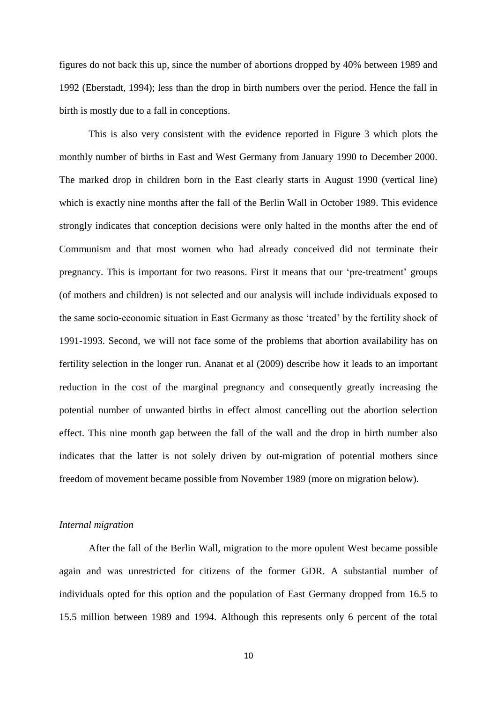figures do not back this up, since the number of abortions dropped by 40% between 1989 and 1992 (Eberstadt, 1994); less than the drop in birth numbers over the period. Hence the fall in birth is mostly due to a fall in conceptions.

This is also very consistent with the evidence reported in Figure 3 which plots the monthly number of births in East and West Germany from January 1990 to December 2000. The marked drop in children born in the East clearly starts in August 1990 (vertical line) which is exactly nine months after the fall of the Berlin Wall in October 1989. This evidence strongly indicates that conception decisions were only halted in the months after the end of Communism and that most women who had already conceived did not terminate their pregnancy. This is important for two reasons. First it means that our "pre-treatment" groups (of mothers and children) is not selected and our analysis will include individuals exposed to the same socio-economic situation in East Germany as those "treated" by the fertility shock of 1991-1993. Second, we will not face some of the problems that abortion availability has on fertility selection in the longer run. Ananat et al (2009) describe how it leads to an important reduction in the cost of the marginal pregnancy and consequently greatly increasing the potential number of unwanted births in effect almost cancelling out the abortion selection effect. This nine month gap between the fall of the wall and the drop in birth number also indicates that the latter is not solely driven by out-migration of potential mothers since freedom of movement became possible from November 1989 (more on migration below).

# *Internal migration*

After the fall of the Berlin Wall, migration to the more opulent West became possible again and was unrestricted for citizens of the former GDR. A substantial number of individuals opted for this option and the population of East Germany dropped from 16.5 to 15.5 million between 1989 and 1994. Although this represents only 6 percent of the total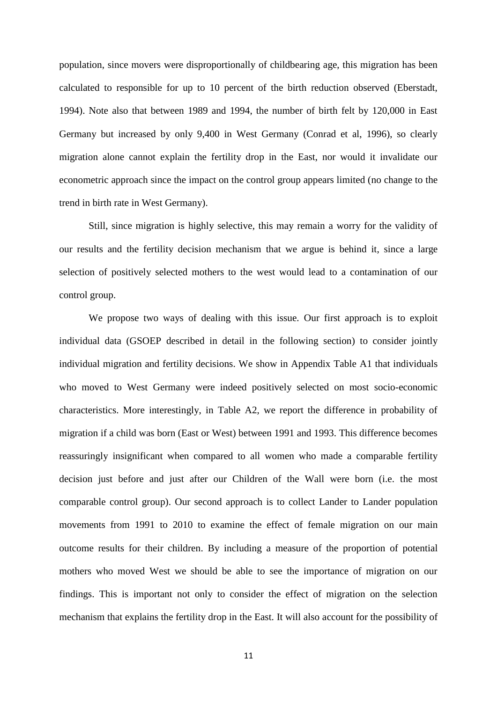population, since movers were disproportionally of childbearing age, this migration has been calculated to responsible for up to 10 percent of the birth reduction observed (Eberstadt, 1994). Note also that between 1989 and 1994, the number of birth felt by 120,000 in East Germany but increased by only 9,400 in West Germany (Conrad et al, 1996), so clearly migration alone cannot explain the fertility drop in the East, nor would it invalidate our econometric approach since the impact on the control group appears limited (no change to the trend in birth rate in West Germany).

Still, since migration is highly selective, this may remain a worry for the validity of our results and the fertility decision mechanism that we argue is behind it, since a large selection of positively selected mothers to the west would lead to a contamination of our control group.

We propose two ways of dealing with this issue. Our first approach is to exploit individual data (GSOEP described in detail in the following section) to consider jointly individual migration and fertility decisions. We show in Appendix Table A1 that individuals who moved to West Germany were indeed positively selected on most socio-economic characteristics. More interestingly, in Table A2, we report the difference in probability of migration if a child was born (East or West) between 1991 and 1993. This difference becomes reassuringly insignificant when compared to all women who made a comparable fertility decision just before and just after our Children of the Wall were born (i.e. the most comparable control group). Our second approach is to collect Lander to Lander population movements from 1991 to 2010 to examine the effect of female migration on our main outcome results for their children. By including a measure of the proportion of potential mothers who moved West we should be able to see the importance of migration on our findings. This is important not only to consider the effect of migration on the selection mechanism that explains the fertility drop in the East. It will also account for the possibility of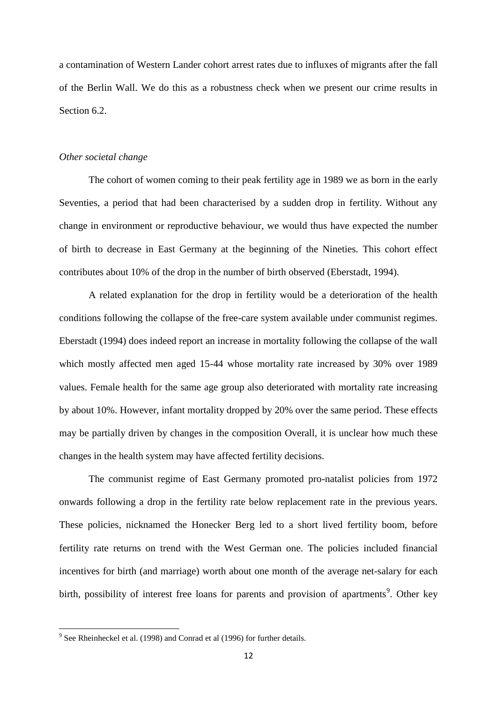a contamination of Western Lander cohort arrest rates due to influxes of migrants after the fall of the Berlin Wall. We do this as a robustness check when we present our crime results in Section 6.2.

#### *Other societal change*

The cohort of women coming to their peak fertility age in 1989 we as born in the early Seventies, a period that had been characterised by a sudden drop in fertility. Without any change in environment or reproductive behaviour, we would thus have expected the number of birth to decrease in East Germany at the beginning of the Nineties. This cohort effect contributes about 10% of the drop in the number of birth observed (Eberstadt, 1994).

A related explanation for the drop in fertility would be a deterioration of the health conditions following the collapse of the free-care system available under communist regimes. Eberstadt (1994) does indeed report an increase in mortality following the collapse of the wall which mostly affected men aged 15-44 whose mortality rate increased by 30% over 1989 values. Female health for the same age group also deteriorated with mortality rate increasing by about 10%. However, infant mortality dropped by 20% over the same period. These effects may be partially driven by changes in the composition Overall, it is unclear how much these changes in the health system may have affected fertility decisions.

The communist regime of East Germany promoted pro-natalist policies from 1972 onwards following a drop in the fertility rate below replacement rate in the previous years. These policies, nicknamed the Honecker Berg led to a short lived fertility boom, before fertility rate returns on trend with the West German one. The policies included financial incentives for birth (and marriage) worth about one month of the average net-salary for each birth, possibility of interest free loans for parents and provision of apartments<sup>9</sup>. Other key

 9 See Rheinheckel et al. (1998) and Conrad et al (1996) for further details.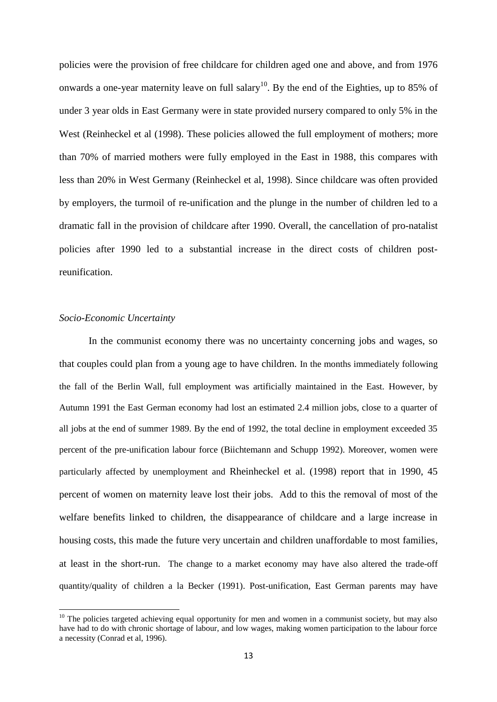policies were the provision of free childcare for children aged one and above, and from 1976 onwards a one-year maternity leave on full salary<sup>10</sup>. By the end of the Eighties, up to 85% of under 3 year olds in East Germany were in state provided nursery compared to only 5% in the West (Reinheckel et al (1998). These policies allowed the full employment of mothers; more than 70% of married mothers were fully employed in the East in 1988, this compares with less than 20% in West Germany (Reinheckel et al, 1998). Since childcare was often provided by employers, the turmoil of re-unification and the plunge in the number of children led to a dramatic fall in the provision of childcare after 1990. Overall, the cancellation of pro-natalist policies after 1990 led to a substantial increase in the direct costs of children postreunification.

## *Socio-Economic Uncertainty*

 $\overline{a}$ 

In the communist economy there was no uncertainty concerning jobs and wages, so that couples could plan from a young age to have children. In the months immediately following the fall of the Berlin Wall, full employment was artificially maintained in the East. However, by Autumn 1991 the East German economy had lost an estimated 2.4 million jobs, close to a quarter of all jobs at the end of summer 1989. By the end of 1992, the total decline in employment exceeded 35 percent of the pre-unification labour force (Biichtemann and Schupp 1992). Moreover, women were particularly affected by unemployment and Rheinheckel et al. (1998) report that in 1990, 45 percent of women on maternity leave lost their jobs. Add to this the removal of most of the welfare benefits linked to children, the disappearance of childcare and a large increase in housing costs, this made the future very uncertain and children unaffordable to most families, at least in the short-run. The change to a market economy may have also altered the trade-off quantity/quality of children a la Becker (1991). Post-unification, East German parents may have

 $10$  The policies targeted achieving equal opportunity for men and women in a communist society, but may also have had to do with chronic shortage of labour, and low wages, making women participation to the labour force a necessity (Conrad et al, 1996).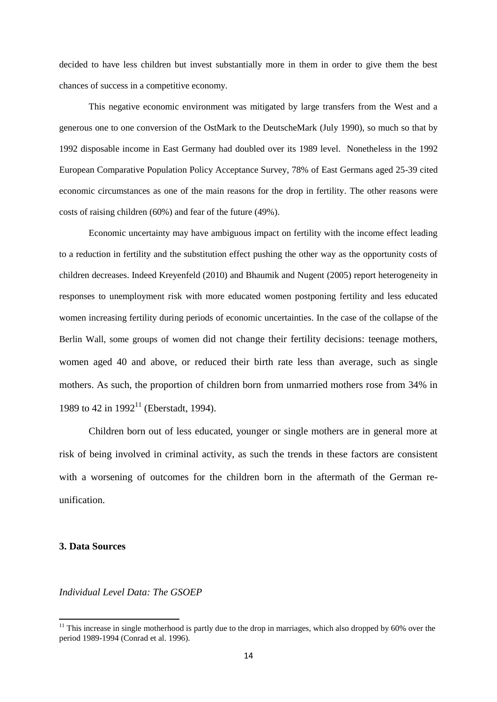decided to have less children but invest substantially more in them in order to give them the best chances of success in a competitive economy.

This negative economic environment was mitigated by large transfers from the West and a generous one to one conversion of the OstMark to the DeutscheMark (July 1990), so much so that by 1992 disposable income in East Germany had doubled over its 1989 level. Nonetheless in the 1992 European Comparative Population Policy Acceptance Survey, 78% of East Germans aged 25-39 cited economic circumstances as one of the main reasons for the drop in fertility. The other reasons were costs of raising children (60%) and fear of the future (49%).

Economic uncertainty may have ambiguous impact on fertility with the income effect leading to a reduction in fertility and the substitution effect pushing the other way as the opportunity costs of children decreases. Indeed Kreyenfeld (2010) and Bhaumik and Nugent (2005) report heterogeneity in responses to unemployment risk with more educated women postponing fertility and less educated women increasing fertility during periods of economic uncertainties. In the case of the collapse of the Berlin Wall, some groups of women did not change their fertility decisions: teenage mothers, women aged 40 and above, or reduced their birth rate less than average, such as single mothers. As such, the proportion of children born from unmarried mothers rose from 34% in 1989 to 42 in  $1992^{11}$  (Eberstadt, 1994).

Children born out of less educated, younger or single mothers are in general more at risk of being involved in criminal activity, as such the trends in these factors are consistent with a worsening of outcomes for the children born in the aftermath of the German reunification.

# **3. Data Sources**

 $\overline{\phantom{a}}$ 

*Individual Level Data: The GSOEP*

 $11$  This increase in single motherhood is partly due to the drop in marriages, which also dropped by 60% over the period 1989-1994 (Conrad et al. 1996).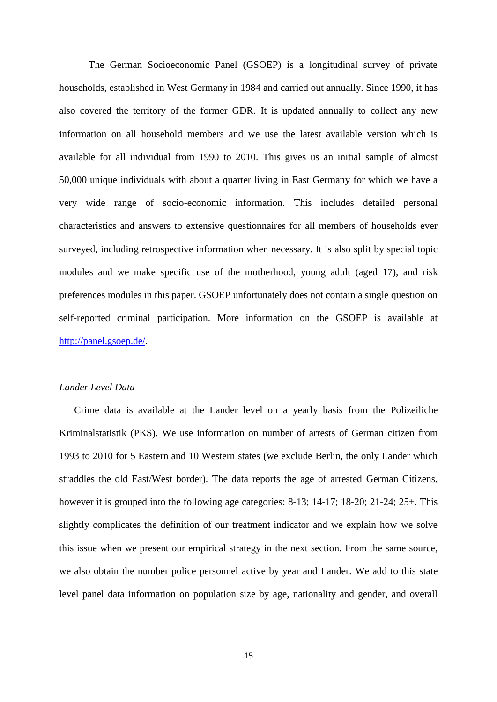The German Socioeconomic Panel (GSOEP) is a longitudinal survey of private households, established in West Germany in 1984 and carried out annually. Since 1990, it has also covered the territory of the former GDR. It is updated annually to collect any new information on all household members and we use the latest available version which is available for all individual from 1990 to 2010. This gives us an initial sample of almost 50,000 unique individuals with about a quarter living in East Germany for which we have a very wide range of socio-economic information. This includes detailed personal characteristics and answers to extensive questionnaires for all members of households ever surveyed, including retrospective information when necessary. It is also split by special topic modules and we make specific use of the motherhood, young adult (aged 17), and risk preferences modules in this paper. GSOEP unfortunately does not contain a single question on self-reported criminal participation. More information on the GSOEP is available at [http://panel.gsoep.de/.](http://panel.gsoep.de/)

## *Lander Level Data*

Crime data is available at the Lander level on a yearly basis from the Polizeiliche Kriminalstatistik (PKS). We use information on number of arrests of German citizen from 1993 to 2010 for 5 Eastern and 10 Western states (we exclude Berlin, the only Lander which straddles the old East/West border). The data reports the age of arrested German Citizens, however it is grouped into the following age categories: 8-13; 14-17; 18-20; 21-24; 25+. This slightly complicates the definition of our treatment indicator and we explain how we solve this issue when we present our empirical strategy in the next section. From the same source, we also obtain the number police personnel active by year and Lander. We add to this state level panel data information on population size by age, nationality and gender, and overall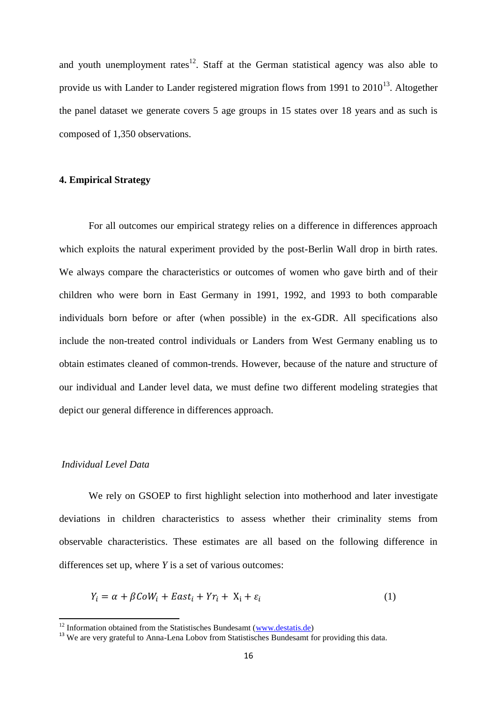and youth unemployment rates $12$ . Staff at the German statistical agency was also able to provide us with Lander to Lander registered migration flows from 1991 to  $2010^{13}$ . Altogether the panel dataset we generate covers 5 age groups in 15 states over 18 years and as such is composed of 1,350 observations.

# **4. Empirical Strategy**

For all outcomes our empirical strategy relies on a difference in differences approach which exploits the natural experiment provided by the post-Berlin Wall drop in birth rates. We always compare the characteristics or outcomes of women who gave birth and of their children who were born in East Germany in 1991, 1992, and 1993 to both comparable individuals born before or after (when possible) in the ex-GDR. All specifications also include the non-treated control individuals or Landers from West Germany enabling us to obtain estimates cleaned of common-trends. However, because of the nature and structure of our individual and Lander level data, we must define two different modeling strategies that depict our general difference in differences approach.

# *Individual Level Data*

 $\overline{a}$ 

We rely on GSOEP to first highlight selection into motherhood and later investigate deviations in children characteristics to assess whether their criminality stems from observable characteristics. These estimates are all based on the following difference in differences set up, where *Y* is a set of various outcomes:

$$
Y_i = \alpha + \beta \text{CoW}_i + \text{East}_i + Yr_i + X_i + \varepsilon_i \tag{1}
$$

 $12$  Information obtained from the Statistisches Bundesamt [\(www.destatis.de\)](http://www.destatis.de/)

<sup>&</sup>lt;sup>13</sup> We are very grateful to Anna-Lena Lobov from Statistisches Bundesamt for providing this data.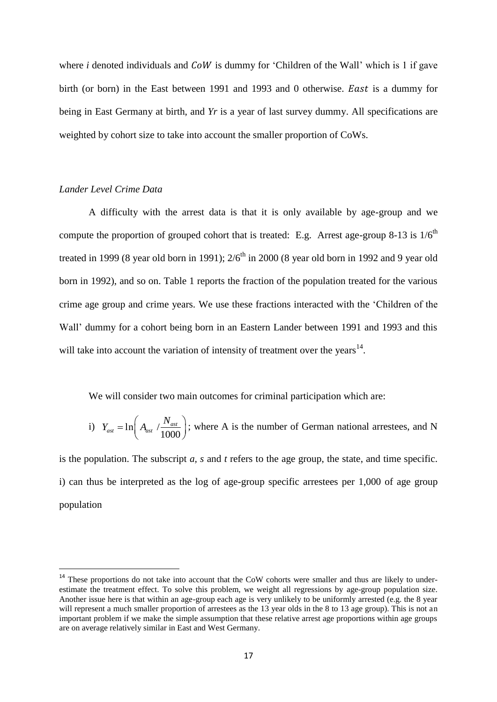where  $i$  denoted individuals and  $CoW$  is dummy for 'Children of the Wall' which is 1 if gave birth (or born) in the East between 1991 and 1993 and 0 otherwise. *East* is a dummy for being in East Germany at birth, and *Yr* is a year of last survey dummy. All specifications are weighted by cohort size to take into account the smaller proportion of CoWs.

# *Lander Level Crime Data*

 $\overline{a}$ 

A difficulty with the arrest data is that it is only available by age-group and we compute the proportion of grouped cohort that is treated: E.g. Arrest age-group 8-13 is  $1/6<sup>th</sup>$ treated in 1999 (8 year old born in 1991);  $2/6<sup>th</sup>$  in 2000 (8 year old born in 1992 and 9 year old born in 1992), and so on. Table 1 reports the fraction of the population treated for the various crime age group and crime years. We use these fractions interacted with the "Children of the Wall" dummy for a cohort being born in an Eastern Lander between 1991 and 1993 and this will take into account the variation of intensity of treatment over the years $^{14}$ .

We will consider two main outcomes for criminal participation which are:

i) 
$$
Y_{ast} = \ln\left(A_{ast} / \frac{N_{ast}}{1000}\right)
$$
; where A is the number of German national arrestees, and N

is the population. The subscript *a, s* and *t* refers to the age group, the state, and time specific. i) can thus be interpreted as the log of age-group specific arrestees per 1,000 of age group population

<sup>&</sup>lt;sup>14</sup> These proportions do not take into account that the CoW cohorts were smaller and thus are likely to underestimate the treatment effect. To solve this problem, we weight all regressions by age-group population size. Another issue here is that within an age-group each age is very unlikely to be uniformly arrested (e.g. the 8 year will represent a much smaller proportion of arrestees as the 13 year olds in the 8 to 13 age group). This is not an important problem if we make the simple assumption that these relative arrest age proportions within age groups are on average relatively similar in East and West Germany.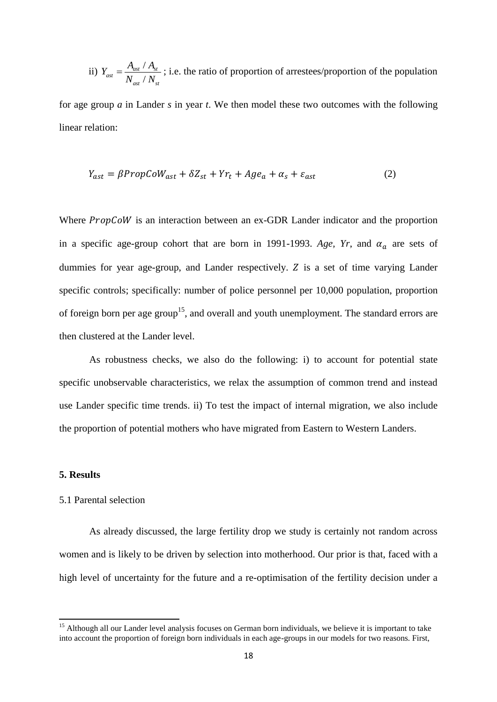ii) 
$$
Y_{ast} = \frac{A_{ast} / A_{st}}{N_{ast} / N_{st}}
$$
; i.e. the ratio of proportion of arrestees/proportion of the population

for age group *a* in Lander *s* in year *t*. We then model these two outcomes with the following linear relation:

$$
Y_{ast} = \beta PropCoW_{ast} + \delta Z_{st} + Yr_t + Age_a + \alpha_s + \varepsilon_{ast}
$$
 (2)

Where  $Proofow$  is an interaction between an ex-GDR Lander indicator and the proportion in a specific age-group cohort that are born in 1991-1993. Age, Yr, and  $\alpha_a$  are sets of dummies for year age-group, and Lander respectively.  $Z$  is a set of time varying Lander specific controls; specifically: number of police personnel per 10,000 population, proportion of foreign born per age group<sup>15</sup>, and overall and youth unemployment. The standard errors are then clustered at the Lander level.

As robustness checks, we also do the following: i) to account for potential state specific unobservable characteristics, we relax the assumption of common trend and instead use Lander specific time trends. ii) To test the impact of internal migration, we also include the proportion of potential mothers who have migrated from Eastern to Western Landers.

#### **5. Results**

 $\overline{\phantom{a}}$ 

#### 5.1 Parental selection

As already discussed, the large fertility drop we study is certainly not random across women and is likely to be driven by selection into motherhood. Our prior is that, faced with a high level of uncertainty for the future and a re-optimisation of the fertility decision under a

<sup>&</sup>lt;sup>15</sup> Although all our Lander level analysis focuses on German born individuals, we believe it is important to take into account the proportion of foreign born individuals in each age-groups in our models for two reasons. First,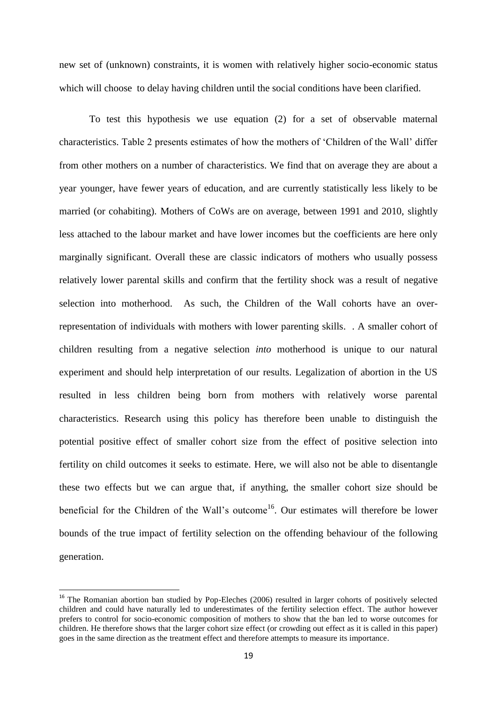new set of (unknown) constraints, it is women with relatively higher socio-economic status which will choose to delay having children until the social conditions have been clarified.

To test this hypothesis we use equation (2) for a set of observable maternal characteristics. Table 2 presents estimates of how the mothers of "Children of the Wall" differ from other mothers on a number of characteristics. We find that on average they are about a year younger, have fewer years of education, and are currently statistically less likely to be married (or cohabiting). Mothers of CoWs are on average, between 1991 and 2010, slightly less attached to the labour market and have lower incomes but the coefficients are here only marginally significant. Overall these are classic indicators of mothers who usually possess relatively lower parental skills and confirm that the fertility shock was a result of negative selection into motherhood. As such, the Children of the Wall cohorts have an overrepresentation of individuals with mothers with lower parenting skills. . A smaller cohort of children resulting from a negative selection *into* motherhood is unique to our natural experiment and should help interpretation of our results. Legalization of abortion in the US resulted in less children being born from mothers with relatively worse parental characteristics. Research using this policy has therefore been unable to distinguish the potential positive effect of smaller cohort size from the effect of positive selection into fertility on child outcomes it seeks to estimate. Here, we will also not be able to disentangle these two effects but we can argue that, if anything, the smaller cohort size should be beneficial for the Children of the Wall's outcome<sup>16</sup>. Our estimates will therefore be lower bounds of the true impact of fertility selection on the offending behaviour of the following generation.

 $\overline{\phantom{a}}$ 

<sup>&</sup>lt;sup>16</sup> The Romanian abortion ban studied by Pop-Eleches (2006) resulted in larger cohorts of positively selected children and could have naturally led to underestimates of the fertility selection effect. The author however prefers to control for socio-economic composition of mothers to show that the ban led to worse outcomes for children. He therefore shows that the larger cohort size effect (or crowding out effect as it is called in this paper) goes in the same direction as the treatment effect and therefore attempts to measure its importance.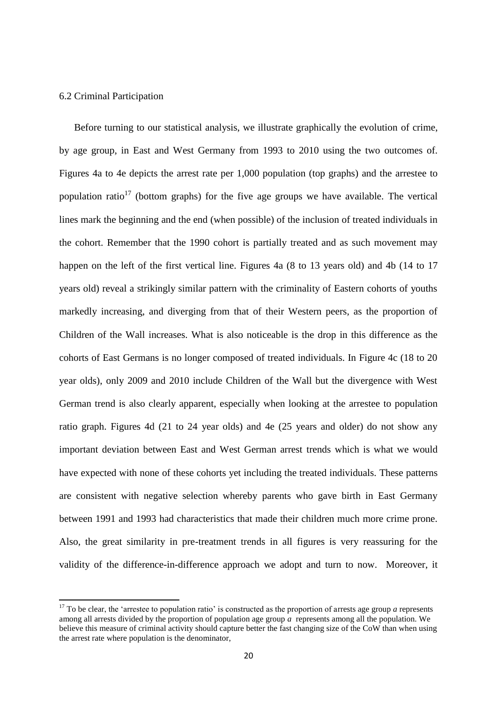## 6.2 Criminal Participation

 $\overline{\phantom{a}}$ 

Before turning to our statistical analysis, we illustrate graphically the evolution of crime, by age group, in East and West Germany from 1993 to 2010 using the two outcomes of. Figures 4a to 4e depicts the arrest rate per 1,000 population (top graphs) and the arrestee to population ratio<sup>17</sup> (bottom graphs) for the five age groups we have available. The vertical lines mark the beginning and the end (when possible) of the inclusion of treated individuals in the cohort. Remember that the 1990 cohort is partially treated and as such movement may happen on the left of the first vertical line. Figures 4a (8 to 13 years old) and 4b (14 to 17 years old) reveal a strikingly similar pattern with the criminality of Eastern cohorts of youths markedly increasing, and diverging from that of their Western peers, as the proportion of Children of the Wall increases. What is also noticeable is the drop in this difference as the cohorts of East Germans is no longer composed of treated individuals. In Figure 4c (18 to 20 year olds), only 2009 and 2010 include Children of the Wall but the divergence with West German trend is also clearly apparent, especially when looking at the arrestee to population ratio graph. Figures 4d (21 to 24 year olds) and 4e (25 years and older) do not show any important deviation between East and West German arrest trends which is what we would have expected with none of these cohorts yet including the treated individuals. These patterns are consistent with negative selection whereby parents who gave birth in East Germany between 1991 and 1993 had characteristics that made their children much more crime prone. Also, the great similarity in pre-treatment trends in all figures is very reassuring for the validity of the difference-in-difference approach we adopt and turn to now. Moreover, it

 $17$  To be clear, the 'arrestee to population ratio' is constructed as the proportion of arrests age group *a* represents among all arrests divided by the proportion of population age group *a* represents among all the population. We believe this measure of criminal activity should capture better the fast changing size of the CoW than when using the arrest rate where population is the denominator,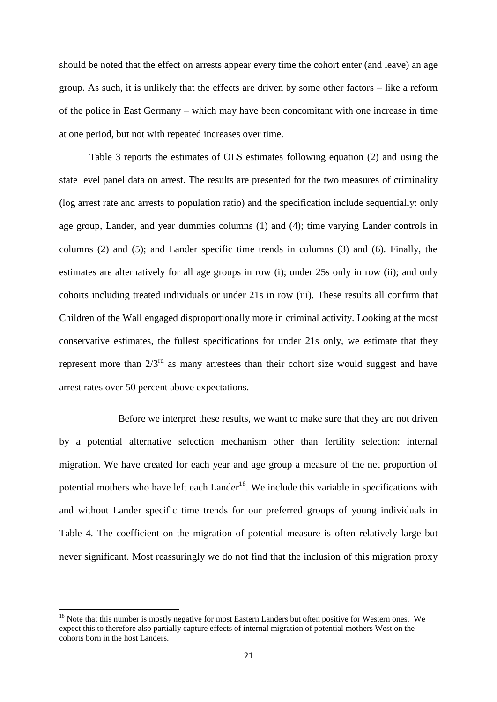should be noted that the effect on arrests appear every time the cohort enter (and leave) an age group. As such, it is unlikely that the effects are driven by some other factors – like a reform of the police in East Germany – which may have been concomitant with one increase in time at one period, but not with repeated increases over time.

Table 3 reports the estimates of OLS estimates following equation (2) and using the state level panel data on arrest. The results are presented for the two measures of criminality (log arrest rate and arrests to population ratio) and the specification include sequentially: only age group, Lander, and year dummies columns (1) and (4); time varying Lander controls in columns (2) and (5); and Lander specific time trends in columns (3) and (6). Finally, the estimates are alternatively for all age groups in row (i); under 25s only in row (ii); and only cohorts including treated individuals or under 21s in row (iii). These results all confirm that Children of the Wall engaged disproportionally more in criminal activity. Looking at the most conservative estimates, the fullest specifications for under 21s only, we estimate that they represent more than  $2/3^{rd}$  as many arrestees than their cohort size would suggest and have arrest rates over 50 percent above expectations.

Before we interpret these results, we want to make sure that they are not driven by a potential alternative selection mechanism other than fertility selection: internal migration. We have created for each year and age group a measure of the net proportion of potential mothers who have left each Lander<sup>18</sup>. We include this variable in specifications with and without Lander specific time trends for our preferred groups of young individuals in Table 4. The coefficient on the migration of potential measure is often relatively large but never significant. Most reassuringly we do not find that the inclusion of this migration proxy

 $\overline{a}$ 

<sup>&</sup>lt;sup>18</sup> Note that this number is mostly negative for most Eastern Landers but often positive for Western ones. We expect this to therefore also partially capture effects of internal migration of potential mothers West on the cohorts born in the host Landers.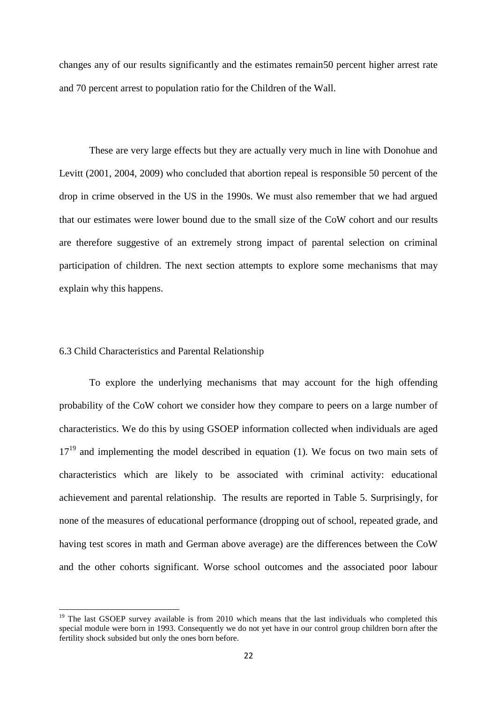changes any of our results significantly and the estimates remain50 percent higher arrest rate and 70 percent arrest to population ratio for the Children of the Wall.

These are very large effects but they are actually very much in line with Donohue and Levitt (2001, 2004, 2009) who concluded that abortion repeal is responsible 50 percent of the drop in crime observed in the US in the 1990s. We must also remember that we had argued that our estimates were lower bound due to the small size of the CoW cohort and our results are therefore suggestive of an extremely strong impact of parental selection on criminal participation of children. The next section attempts to explore some mechanisms that may explain why this happens.

# 6.3 Child Characteristics and Parental Relationship

 $\overline{a}$ 

To explore the underlying mechanisms that may account for the high offending probability of the CoW cohort we consider how they compare to peers on a large number of characteristics. We do this by using GSOEP information collected when individuals are aged  $17<sup>19</sup>$  and implementing the model described in equation (1). We focus on two main sets of characteristics which are likely to be associated with criminal activity: educational achievement and parental relationship. The results are reported in Table 5. Surprisingly, for none of the measures of educational performance (dropping out of school, repeated grade, and having test scores in math and German above average) are the differences between the CoW and the other cohorts significant. Worse school outcomes and the associated poor labour

<sup>&</sup>lt;sup>19</sup> The last GSOEP survey available is from 2010 which means that the last individuals who completed this special module were born in 1993. Consequently we do not yet have in our control group children born after the fertility shock subsided but only the ones born before.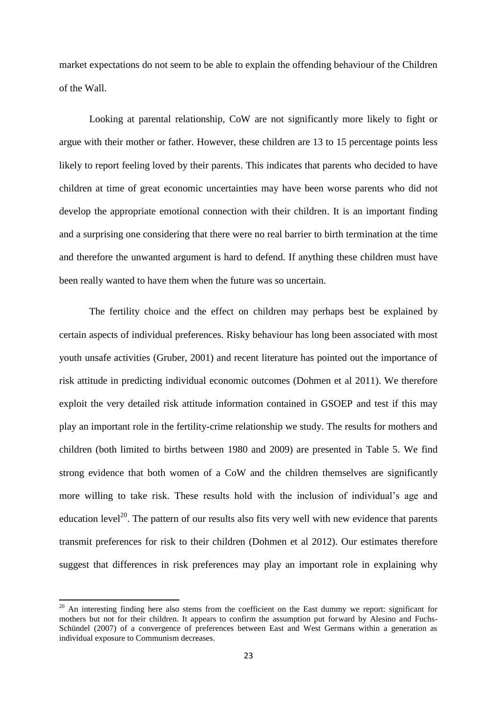market expectations do not seem to be able to explain the offending behaviour of the Children of the Wall.

Looking at parental relationship, CoW are not significantly more likely to fight or argue with their mother or father. However, these children are 13 to 15 percentage points less likely to report feeling loved by their parents. This indicates that parents who decided to have children at time of great economic uncertainties may have been worse parents who did not develop the appropriate emotional connection with their children. It is an important finding and a surprising one considering that there were no real barrier to birth termination at the time and therefore the unwanted argument is hard to defend. If anything these children must have been really wanted to have them when the future was so uncertain.

The fertility choice and the effect on children may perhaps best be explained by certain aspects of individual preferences. Risky behaviour has long been associated with most youth unsafe activities (Gruber, 2001) and recent literature has pointed out the importance of risk attitude in predicting individual economic outcomes (Dohmen et al 2011). We therefore exploit the very detailed risk attitude information contained in GSOEP and test if this may play an important role in the fertility-crime relationship we study. The results for mothers and children (both limited to births between 1980 and 2009) are presented in Table 5. We find strong evidence that both women of a CoW and the children themselves are significantly more willing to take risk. These results hold with the inclusion of individual"s age and education level<sup>20</sup>. The pattern of our results also fits very well with new evidence that parents transmit preferences for risk to their children (Dohmen et al 2012). Our estimates therefore suggest that differences in risk preferences may play an important role in explaining why

 $\overline{\phantom{a}}$ 

 $20$  An interesting finding here also stems from the coefficient on the East dummy we report: significant for mothers but not for their children. It appears to confirm the assumption put forward by Alesino and Fuchs-Schündel (2007) of a convergence of preferences between East and West Germans within a generation as individual exposure to Communism decreases.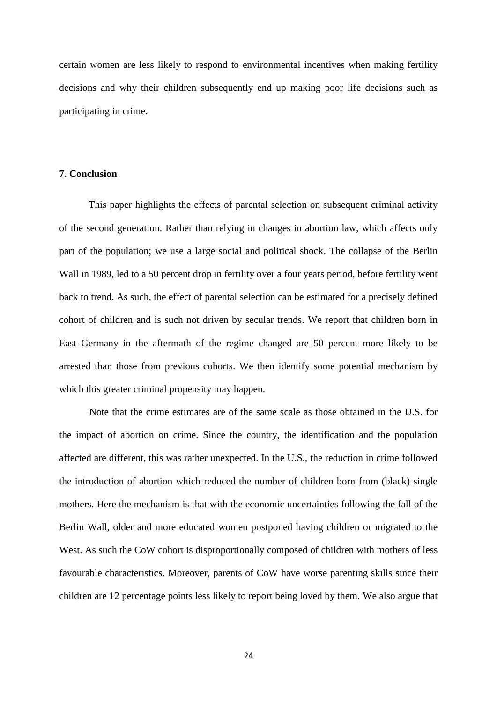certain women are less likely to respond to environmental incentives when making fertility decisions and why their children subsequently end up making poor life decisions such as participating in crime.

## **7. Conclusion**

This paper highlights the effects of parental selection on subsequent criminal activity of the second generation. Rather than relying in changes in abortion law, which affects only part of the population; we use a large social and political shock. The collapse of the Berlin Wall in 1989, led to a 50 percent drop in fertility over a four years period, before fertility went back to trend. As such, the effect of parental selection can be estimated for a precisely defined cohort of children and is such not driven by secular trends. We report that children born in East Germany in the aftermath of the regime changed are 50 percent more likely to be arrested than those from previous cohorts. We then identify some potential mechanism by which this greater criminal propensity may happen.

Note that the crime estimates are of the same scale as those obtained in the U.S. for the impact of abortion on crime. Since the country, the identification and the population affected are different, this was rather unexpected. In the U.S., the reduction in crime followed the introduction of abortion which reduced the number of children born from (black) single mothers. Here the mechanism is that with the economic uncertainties following the fall of the Berlin Wall, older and more educated women postponed having children or migrated to the West. As such the CoW cohort is disproportionally composed of children with mothers of less favourable characteristics. Moreover, parents of CoW have worse parenting skills since their children are 12 percentage points less likely to report being loved by them. We also argue that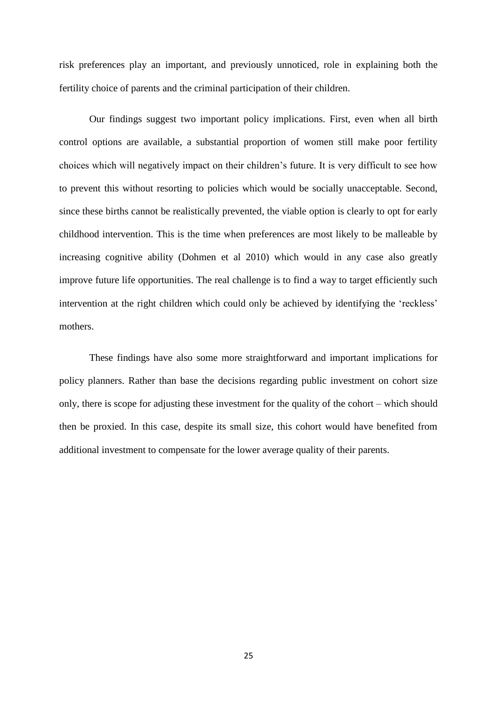risk preferences play an important, and previously unnoticed, role in explaining both the fertility choice of parents and the criminal participation of their children.

Our findings suggest two important policy implications. First, even when all birth control options are available, a substantial proportion of women still make poor fertility choices which will negatively impact on their children"s future. It is very difficult to see how to prevent this without resorting to policies which would be socially unacceptable. Second, since these births cannot be realistically prevented, the viable option is clearly to opt for early childhood intervention. This is the time when preferences are most likely to be malleable by increasing cognitive ability (Dohmen et al 2010) which would in any case also greatly improve future life opportunities. The real challenge is to find a way to target efficiently such intervention at the right children which could only be achieved by identifying the "reckless" mothers.

These findings have also some more straightforward and important implications for policy planners. Rather than base the decisions regarding public investment on cohort size only, there is scope for adjusting these investment for the quality of the cohort – which should then be proxied. In this case, despite its small size, this cohort would have benefited from additional investment to compensate for the lower average quality of their parents.

25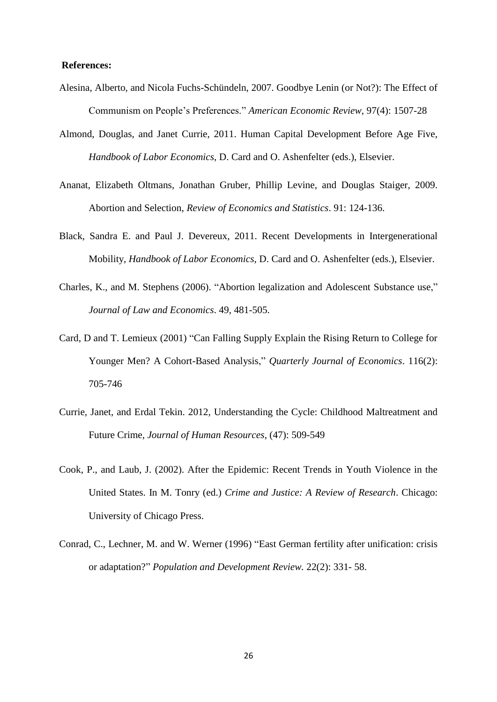## **References:**

- Alesina, Alberto, and Nicola Fuchs-Schündeln, 2007. Goodbye Lenin (or Not?): The Effect of Communism on People"s Preferences." *American Economic Review,* 97(4): 1507-28
- Almond, Douglas, and Janet Currie, 2011. Human Capital Development Before Age Five, *Handbook of Labor Economics*, D. Card and O. Ashenfelter (eds.), Elsevier.
- Ananat, Elizabeth Oltmans, Jonathan Gruber, Phillip Levine, and Douglas Staiger, 2009. Abortion and Selection, *Review of Economics and Statistics*. 91: 124-136.
- Black, Sandra E. and Paul J. Devereux, 2011. [Recent Developments in Intergenerational](http://ideas.repec.org/h/eee/labchp/5-16.html)  [Mobility,](http://ideas.repec.org/h/eee/labchp/5-16.html) *[Handbook of Labor Economics](http://ideas.repec.org/s/eee/labchp.html)*, D. Card and O. Ashenfelter (eds.), Elsevier.
- Charles, K., and M. Stephens (2006). "Abortion legalization and Adolescent Substance use," *Journal of Law and Economics*. 49, 481-505.
- Card, D and T. Lemieux (2001) "Can Falling Supply Explain the Rising Return to College for Younger Men? A Cohort-Based Analysis," *Quarterly Journal of Economics*. 116(2): 705-746
- Currie, Janet, and Erdal Tekin. 2012, Understanding the Cycle: Childhood Maltreatment and Future Crime, *Journal of Human Resources*, (47): 509-549
- Cook, P., and Laub, J. (2002). After the Epidemic: Recent Trends in Youth Violence in the United States. In M. Tonry (ed.) *Crime and Justice: A Review of Research*. Chicago: University of Chicago Press.
- Conrad, C., Lechner, M. and W. Werner (1996) "East German fertility after unification: crisis or adaptation?" *Population and Development Review.* 22(2): 331- 58.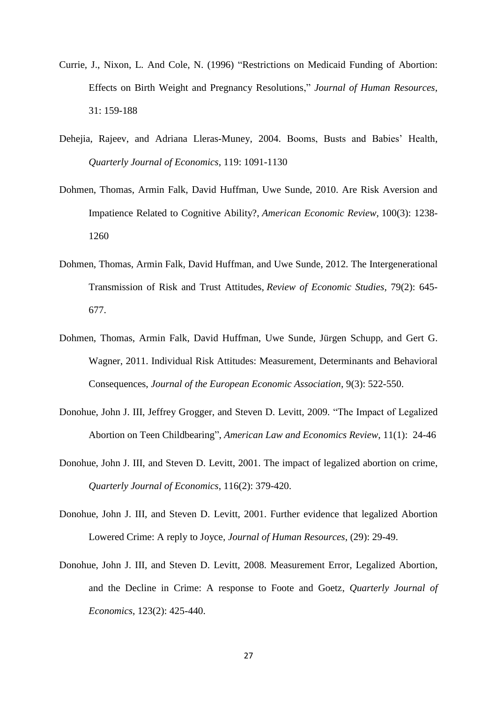- Currie, J., Nixon, L. And Cole, N. (1996) "Restrictions on Medicaid Funding of Abortion: Effects on Birth Weight and Pregnancy Resolutions," *Journal of Human Resources*, 31: 159-188
- Dehejia, Rajeev, and Adriana Lleras-Muney, 2004. Booms, Busts and Babies" Health, *Quarterly Journal of Economics*, 119: 1091-1130
- Dohmen, Thomas, Armin Falk, David Huffman, Uwe Sunde, 2010. Are Risk Aversion and Impatience Related to Cognitive Ability?, *American Economic Review,* 100(3): 1238- 1260
- Dohmen, Thomas, Armin Falk, David Huffman, and Uwe Sunde, 2012. The Intergenerational Transmission of Risk and Trust Attitudes, *Review of Economic Studies*, 79(2): 645- 677.
- Dohmen, Thomas, Armin Falk, David Huffman, Uwe Sunde, Jürgen Schupp, and Gert G. Wagner, 2011. Individual Risk Attitudes: Measurement, Determinants and Behavioral Consequences, *Journal of the European Economic Association*, 9(3): 522-550.
- Donohue, John J. III, Jeffrey Grogger, and Steven D. Levitt, 2009. "The Impact of Legalized Abortion on Teen Childbearing", *American Law and Economics Review*, 11(1): 24-46
- Donohue, John J. III, and Steven D. Levitt, 2001. The impact of legalized abortion on crime, *Quarterly Journal of Economics*, 116(2): 379-420.
- Donohue, John J. III, and Steven D. Levitt, 2001. Further evidence that legalized Abortion Lowered Crime: A reply to Joyce, *Journal of Human Resources*, (29): 29-49.
- Donohue, John J. III, and Steven D. Levitt, 2008. Measurement Error, Legalized Abortion, and the Decline in Crime: A response to Foote and Goetz, *Quarterly Journal of Economics*, 123(2): 425-440.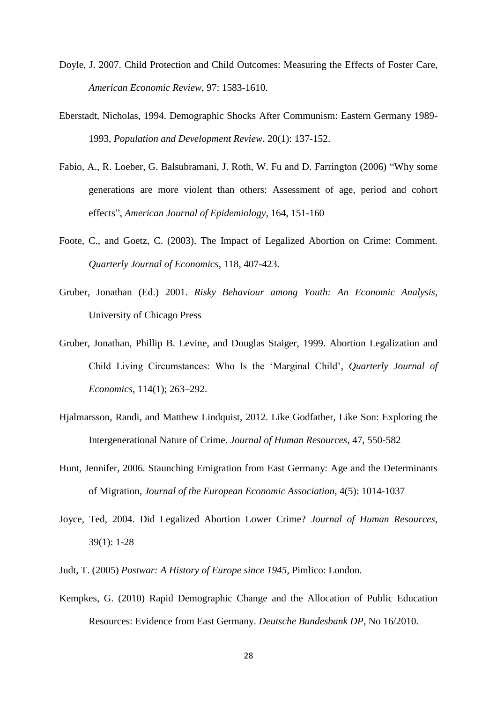- Doyle, J. 2007. Child Protection and Child Outcomes: Measuring the Effects of Foster Care, *American Economic Review*, 97: 1583-1610.
- Eberstadt, Nicholas, 1994. Demographic Shocks After Communism: Eastern Germany 1989- 1993, *Population and Development Review*. 20(1): 137-152.
- Fabio, A., R. Loeber, G. Balsubramani, J. Roth, W. Fu and D. Farrington (2006) "Why some generations are more violent than others: Assessment of age, period and cohort effects", *American Journal of Epidemiology*, 164, 151-160
- Foote, C., and Goetz, C. (2003). The Impact of Legalized Abortion on Crime: Comment. *Quarterly Journal of Economics*, 118, 407-423.
- Gruber, Jonathan (Ed.) 2001. *Risky Behaviour among Youth: An Economic Analysis*, University of Chicago Press
- Gruber, Jonathan, Phillip B. Levine, and Douglas Staiger, 1999. Abortion Legalization and Child Living Circumstances: Who Is the "Marginal Child", *Quarterly Journal of Economics*, 114(1); 263–292.
- Hjalmarsson, Randi, and Matthew Lindquist, 2012. Like Godfather, Like Son: Exploring the Intergenerational Nature of Crime. *Journal of Human Resources*, 47, 550-582
- Hunt, Jennifer, 2006. Staunching Emigration from East Germany: Age and the Determinants of Migration, *Journal of the European Economic Association*, 4(5): 1014-1037
- Joyce, Ted, 2004. Did Legalized Abortion Lower Crime? *Journal of Human Resources*, 39(1): 1-28
- Judt, T. (2005) *Postwar: A History of Europe since 1945*, Pimlico: London.
- Kempkes, G. (2010) Rapid Demographic Change and the Allocation of Public Education Resources: Evidence from East Germany. *Deutsche Bundesbank DP*, No 16/2010.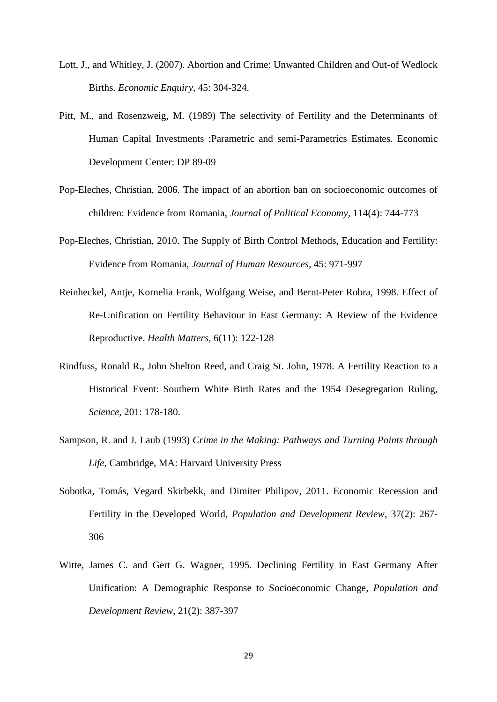- Lott, J., and Whitley, J. (2007). Abortion and Crime: Unwanted Children and Out-of Wedlock Births. *Economic Enquiry*, 45: 304-324.
- Pitt, M., and Rosenzweig, M. (1989) The selectivity of Fertility and the Determinants of Human Capital Investments :Parametric and semi-Parametrics Estimates. Economic Development Center: DP 89-09
- Pop-Eleches, Christian, 2006. The impact of an abortion ban on socioeconomic outcomes of children: Evidence from Romania, *Journal of Political Economy,* 114(4): 744-773
- Pop-Eleches, Christian, 2010. The Supply of Birth Control Methods, Education and Fertility: Evidence from Romania, *Journal of Human Resources*, 45: 971-997
- Reinheckel, Antje, Kornelia Frank, Wolfgang Weise, and Bernt-Peter Robra, 1998. Effect of Re-Unification on Fertility Behaviour in East Germany: A Review of the Evidence Reproductive. *Health Matters*, 6(11): 122-128
- Rindfuss, Ronald R., John Shelton Reed, and Craig St. John, 1978. A Fertility Reaction to a Historical Event: Southern White Birth Rates and the 1954 Desegregation Ruling, *Science*, 201: 178-180.
- Sampson, R. and J. Laub (1993) *Crime in the Making: Pathways and Turning Points through Life*, Cambridge, MA: Harvard University Press
- Sobotka, Tomás, Vegard Skirbekk, and Dimiter Philipov, 2011. Economic Recession and Fertility in the Developed World, *Population and Development Review*, 37(2): 267- 306
- Witte, James C. and Gert G. Wagner, 1995. Declining Fertility in East Germany After Unification: A Demographic Response to Socioeconomic Change, *Population and Development Review*, 21(2): 387-397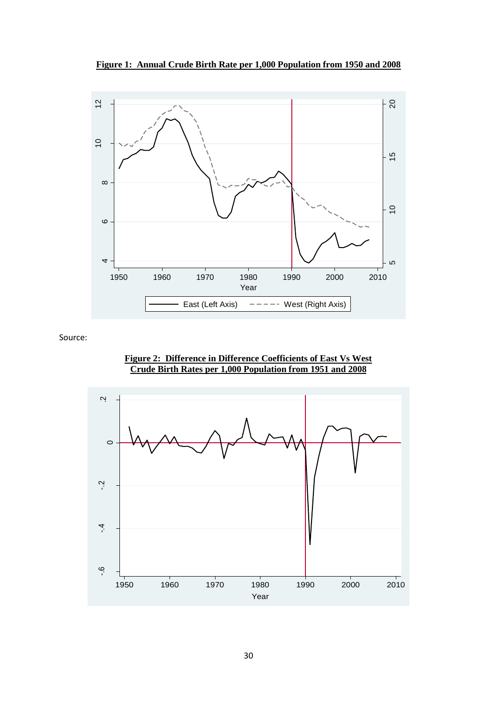**Figure 1: Annual Crude Birth Rate per 1,000 Population from 1950 and 2008**



Source:



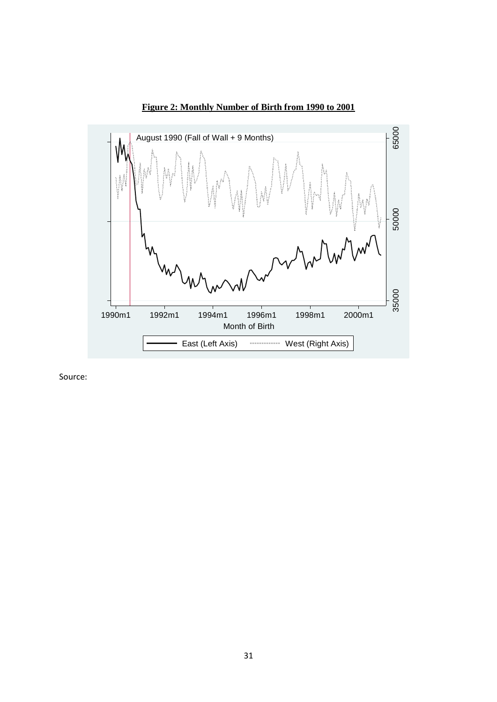



Source: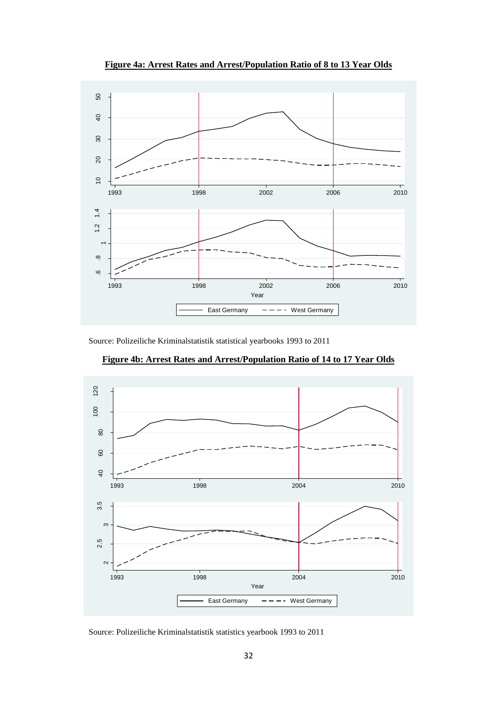

**Figure 4a: Arrest Rates and Arrest/Population Ratio of 8 to 13 Year Olds**

Source: Polizeiliche Kriminalstatistik statistical yearbooks 1993 to 2011



**Figure 4b: Arrest Rates and Arrest/Population Ratio of 14 to 17 Year Olds**

Source: Polizeiliche Kriminalstatistik statistics yearbook 1993 to 2011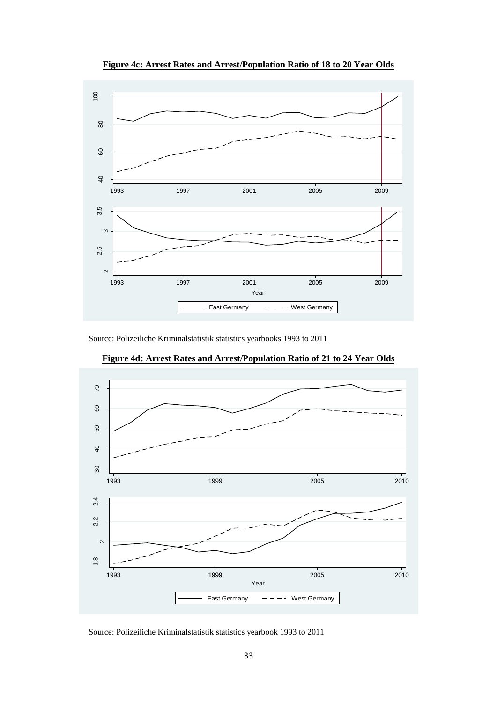

**Figure 4c: Arrest Rates and Arrest/Population Ratio of 18 to 20 Year Olds**

Source: Polizeiliche Kriminalstatistik statistics yearbooks 1993 to 2011



**Figure 4d: Arrest Rates and Arrest/Population Ratio of 21 to 24 Year Olds**

Source: Polizeiliche Kriminalstatistik statistics yearbook 1993 to 2011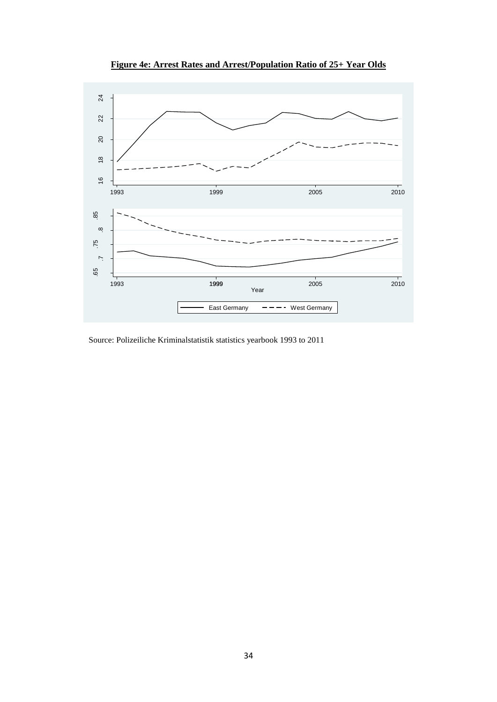

**Figure 4e: Arrest Rates and Arrest/Population Ratio of 25+ Year Olds**

Source: Polizeiliche Kriminalstatistik statistics yearbook 1993 to 2011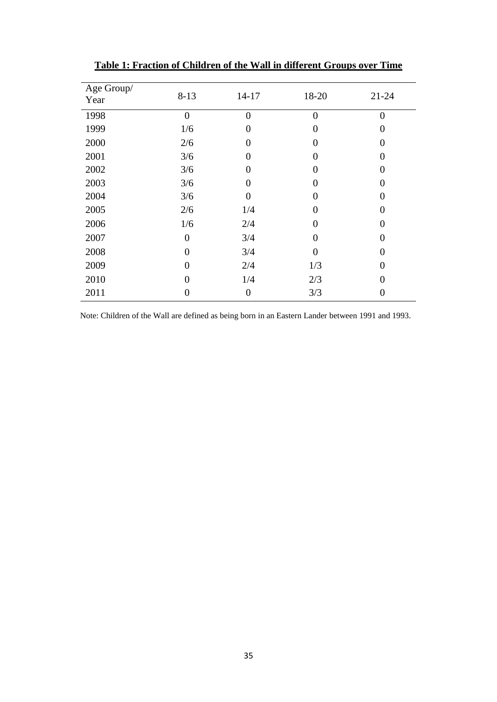| Age Group/<br>Year | $8 - 13$       | $14 - 17$         | 18-20          | $21 - 24$      |
|--------------------|----------------|-------------------|----------------|----------------|
| 1998               | $\overline{0}$ | $\overline{0}$    | $\overline{0}$ | $\overline{0}$ |
| 1999               | 1/6            | 0                 | 0              |                |
| 2000               | 2/6            | 0                 | 0              | 0              |
| 2001               | 3/6            | 0                 | 0              | 0              |
| 2002               | 3/6            | 0                 | 0              | 0              |
| 2003               | 3/6            | $\mathbf{\Omega}$ | 0              |                |
| 2004               | 3/6            | 0                 | 0              | 0              |
| 2005               | 2/6            | 1/4               | 0              | 0              |
| 2006               | 1/6            | 2/4               | 0              | 0              |
| 2007               | 0              | 3/4               | 0              |                |
| 2008               | 0              | 3/4               | 0              | 0              |
| 2009               | 0              | 2/4               | 1/3            |                |
| 2010               | 0              | 1/4               | 2/3            |                |
| 2011               |                | 0                 | 3/3            |                |

**Table 1: Fraction of Children of the Wall in different Groups over Time**

Note: Children of the Wall are defined as being born in an Eastern Lander between 1991 and 1993.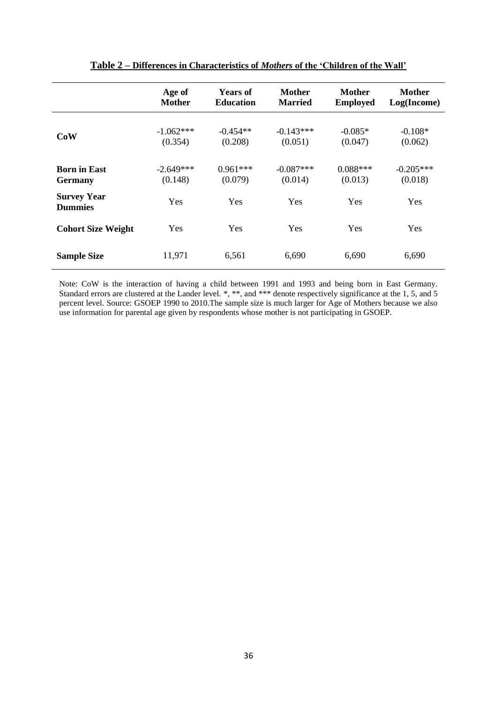|                                      | Age of      | <b>Years of</b>  | <b>Mother</b>  | Mother          | <b>Mother</b> |
|--------------------------------------|-------------|------------------|----------------|-----------------|---------------|
|                                      | Mother      | <b>Education</b> | <b>Married</b> | <b>Employed</b> | Log(Income)   |
| <b>CoW</b>                           | $-1.062***$ | $-0.454**$       | $-0.143***$    | $-0.085*$       | $-0.108*$     |
|                                      | (0.354)     | (0.208)          | (0.051)        | (0.047)         | (0.062)       |
| <b>Born in East</b>                  | $-2.649***$ | $0.961***$       | $-0.087***$    | $0.088***$      | $-0.205***$   |
| <b>Germany</b>                       | (0.148)     | (0.079)          | (0.014)        | (0.013)         | (0.018)       |
| <b>Survey Year</b><br><b>Dummies</b> | Yes         | Yes              | <b>Yes</b>     | Yes             | Yes           |
| <b>Cohort Size Weight</b>            | Yes         | Yes              | Yes            | Yes             | Yes           |
| <b>Sample Size</b>                   | 11,971      | 6,561            | 6,690          | 6,690           | 6,690         |

# **Table 2 – Differences in Characteristics of** *Mothers* **of the 'Children of the Wall'**

Note: CoW is the interaction of having a child between 1991 and 1993 and being born in East Germany. Standard errors are clustered at the Lander level. \*, \*\*, and \*\*\* denote respectively significance at the 1, 5, and 5 percent level. Source: GSOEP 1990 to 2010.The sample size is much larger for Age of Mothers because we also use information for parental age given by respondents whose mother is not participating in GSOEP.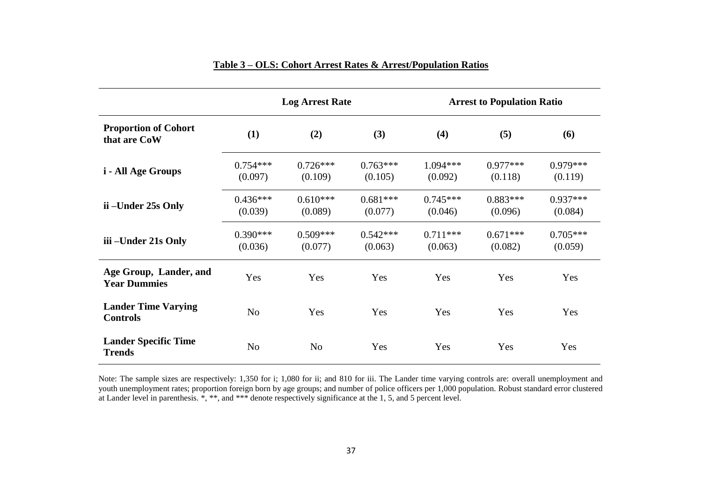|                                               |                       | <b>Log Arrest Rate</b> |                       |                       | <b>Arrest to Population Ratio</b> |                       |
|-----------------------------------------------|-----------------------|------------------------|-----------------------|-----------------------|-----------------------------------|-----------------------|
| <b>Proportion of Cohort</b><br>that are CoW   | (1)                   | (2)                    | (3)                   | (4)                   | (5)                               | (6)                   |
| <i>i</i> - All Age Groups                     | $0.754***$<br>(0.097) | $0.726***$<br>(0.109)  | $0.763***$<br>(0.105) | 1.094***<br>(0.092)   | $0.977***$<br>(0.118)             | $0.979***$<br>(0.119) |
| ii –Under 25s Only                            | $0.436***$<br>(0.039) | $0.610***$<br>(0.089)  | $0.681***$<br>(0.077) | $0.745***$<br>(0.046) | $0.883***$<br>(0.096)             | $0.937***$<br>(0.084) |
| iii –Under 21s Only                           | $0.390***$<br>(0.036) | $0.509***$<br>(0.077)  | $0.542***$<br>(0.063) | $0.711***$<br>(0.063) | $0.671***$<br>(0.082)             | $0.705***$<br>(0.059) |
| Age Group, Lander, and<br><b>Year Dummies</b> | Yes                   | Yes                    | Yes                   | Yes                   | Yes                               | Yes                   |
| <b>Lander Time Varying</b><br><b>Controls</b> | N <sub>o</sub>        | Yes                    | Yes                   | Yes                   | Yes                               | Yes                   |
| <b>Lander Specific Time</b><br><b>Trends</b>  | N <sub>0</sub>        | N <sub>o</sub>         | Yes                   | Yes                   | Yes                               | Yes                   |

# **Table 3 – OLS: Cohort Arrest Rates & Arrest/Population Ratios**

Note: The sample sizes are respectively: 1,350 for i; 1,080 for ii; and 810 for iii. The Lander time varying controls are: overall unemployment and youth unemployment rates; proportion foreign born by age groups; and number of police officers per 1,000 population. Robust standard error clustered at Lander level in parenthesis. \*, \*\*, and \*\*\* denote respectively significance at the 1, 5, and 5 percent level.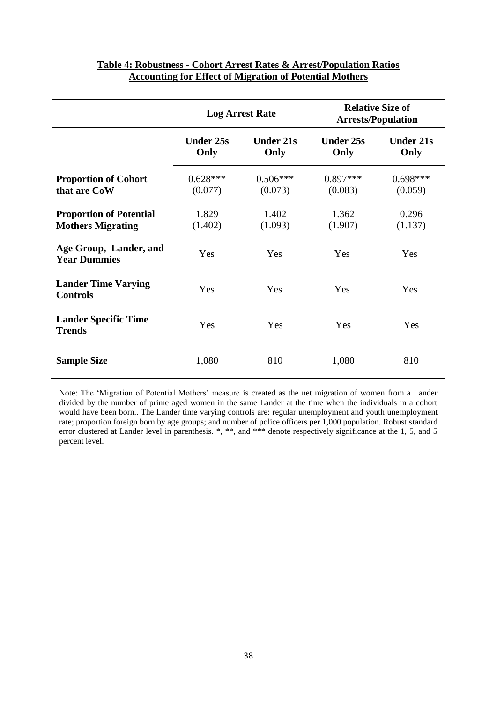|                                                            | <b>Log Arrest Rate</b>   |                          |                          | <b>Relative Size of</b><br><b>Arrests/Population</b> |
|------------------------------------------------------------|--------------------------|--------------------------|--------------------------|------------------------------------------------------|
|                                                            | <b>Under 25s</b><br>Only | <b>Under 21s</b><br>Only | <b>Under 25s</b><br>Only | <b>Under 21s</b><br>Only                             |
| <b>Proportion of Cohort</b><br>that are CoW                | $0.628***$<br>(0.077)    | $0.506***$<br>(0.073)    | $0.897***$<br>(0.083)    | $0.698***$<br>(0.059)                                |
| <b>Proportion of Potential</b><br><b>Mothers Migrating</b> | 1.829<br>(1.402)         | 1.402<br>(1.093)         | 1.362<br>(1.907)         | 0.296<br>(1.137)                                     |
| Age Group, Lander, and<br><b>Year Dummies</b>              | Yes                      | Yes                      | Yes                      | Yes                                                  |
| <b>Lander Time Varying</b><br><b>Controls</b>              | Yes                      | Yes                      | Yes                      | Yes                                                  |
| <b>Lander Specific Time</b><br><b>Trends</b>               | Yes                      | Yes                      | Yes                      | Yes                                                  |
| <b>Sample Size</b>                                         | 1,080                    | 810                      | 1,080                    | 810                                                  |

# **Table 4: Robustness - Cohort Arrest Rates & Arrest/Population Ratios Accounting for Effect of Migration of Potential Mothers**

Note: The "Migration of Potential Mothers" measure is created as the net migration of women from a Lander divided by the number of prime aged women in the same Lander at the time when the individuals in a cohort would have been born.. The Lander time varying controls are: regular unemployment and youth unemployment rate; proportion foreign born by age groups; and number of police officers per 1,000 population. Robust standard error clustered at Lander level in parenthesis. \*, \*\*, and \*\*\* denote respectively significance at the 1, 5, and 5 percent level.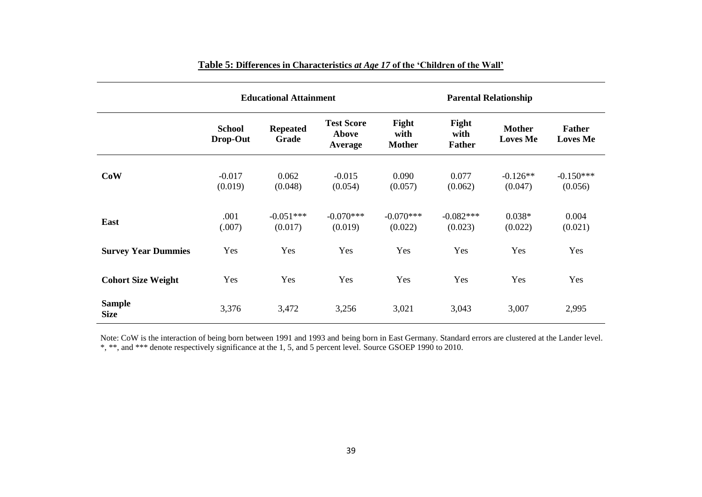|                              | <b>Educational Attainment</b> |                          |                                       |                                | <b>Parental Relationship</b>   |                                  |                                  |
|------------------------------|-------------------------------|--------------------------|---------------------------------------|--------------------------------|--------------------------------|----------------------------------|----------------------------------|
|                              | <b>School</b><br>Drop-Out     | <b>Repeated</b><br>Grade | <b>Test Score</b><br>Above<br>Average | Fight<br>with<br><b>Mother</b> | Fight<br>with<br><b>Father</b> | <b>Mother</b><br><b>Loves Me</b> | <b>Father</b><br><b>Loves Me</b> |
| CoW                          | $-0.017$<br>(0.019)           | 0.062<br>(0.048)         | $-0.015$<br>(0.054)                   | 0.090<br>(0.057)               | 0.077<br>(0.062)               | $-0.126**$<br>(0.047)            | $-0.150***$<br>(0.056)           |
| East                         | .001<br>(.007)                | $-0.051***$<br>(0.017)   | $-0.070***$<br>(0.019)                | $-0.070***$<br>(0.022)         | $-0.082***$<br>(0.023)         | $0.038*$<br>(0.022)              | 0.004<br>(0.021)                 |
| <b>Survey Year Dummies</b>   | Yes                           | Yes                      | Yes                                   | Yes                            | Yes                            | Yes                              | Yes                              |
| <b>Cohort Size Weight</b>    | Yes                           | Yes                      | Yes                                   | Yes                            | Yes                            | Yes                              | Yes                              |
| <b>Sample</b><br><b>Size</b> | 3,376                         | 3,472                    | 3,256                                 | 3,021                          | 3,043                          | 3,007                            | 2,995                            |

# **Table 5: Differences in Characteristics** *at Age 17* **of the 'Children of the Wall'**

Note: CoW is the interaction of being born between 1991 and 1993 and being born in East Germany. Standard errors are clustered at the Lander level. \*, \*\*, and \*\*\* denote respectively significance at the 1, 5, and 5 percent level. Source GSOEP 1990 to 2010.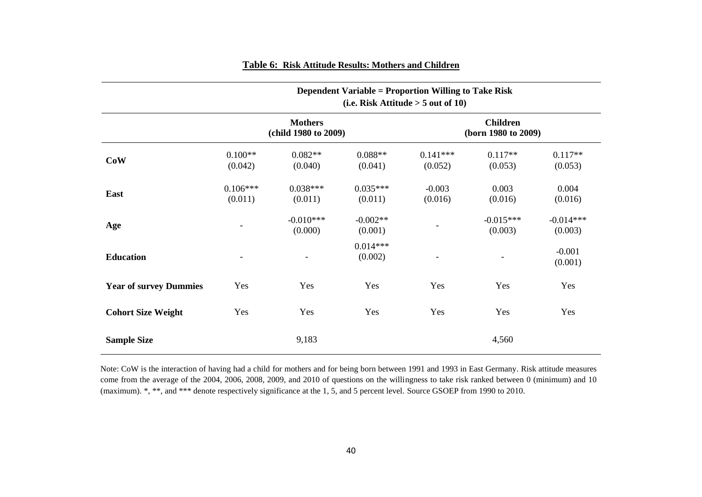|                               |                          |                                        | <b>Dependent Variable = Proportion Willing to Take Risk</b> | (i.e. Risk Attitude $> 5$ out of 10) |                                        |                        |
|-------------------------------|--------------------------|----------------------------------------|-------------------------------------------------------------|--------------------------------------|----------------------------------------|------------------------|
|                               |                          | <b>Mothers</b><br>(child 1980 to 2009) |                                                             |                                      | <b>Children</b><br>(born 1980 to 2009) |                        |
| CoW                           | $0.100**$<br>(0.042)     | $0.082**$<br>(0.040)                   | $0.088**$<br>(0.041)                                        | $0.141***$<br>(0.052)                | $0.117**$<br>(0.053)                   | $0.117**$<br>(0.053)   |
| East                          | $0.106***$<br>(0.011)    | $0.038***$<br>(0.011)                  | $0.035***$<br>(0.011)                                       | $-0.003$<br>(0.016)                  | 0.003<br>(0.016)                       | 0.004<br>(0.016)       |
| Age                           |                          | $-0.010***$<br>(0.000)                 | $-0.002**$<br>(0.001)                                       |                                      | $-0.015***$<br>(0.003)                 | $-0.014***$<br>(0.003) |
| <b>Education</b>              | $\overline{\phantom{a}}$ | $\overline{\phantom{a}}$               | $0.014***$<br>(0.002)                                       |                                      |                                        | $-0.001$<br>(0.001)    |
| <b>Year of survey Dummies</b> | Yes                      | Yes                                    | Yes                                                         | Yes                                  | Yes                                    | Yes                    |
| <b>Cohort Size Weight</b>     | Yes                      | Yes                                    | Yes                                                         | Yes                                  | Yes                                    | Yes                    |
| <b>Sample Size</b>            |                          | 9,183                                  |                                                             |                                      | 4,560                                  |                        |

# **Table 6: Risk Attitude Results: Mothers and Children**

Note: CoW is the interaction of having had a child for mothers and for being born between 1991 and 1993 in East Germany. Risk attitude measures come from the average of the 2004, 2006, 2008, 2009, and 2010 of questions on the willingness to take risk ranked between 0 (minimum) and 10 (maximum). \*, \*\*, and \*\*\* denote respectively significance at the 1, 5, and 5 percent level. Source GSOEP from 1990 to 2010.